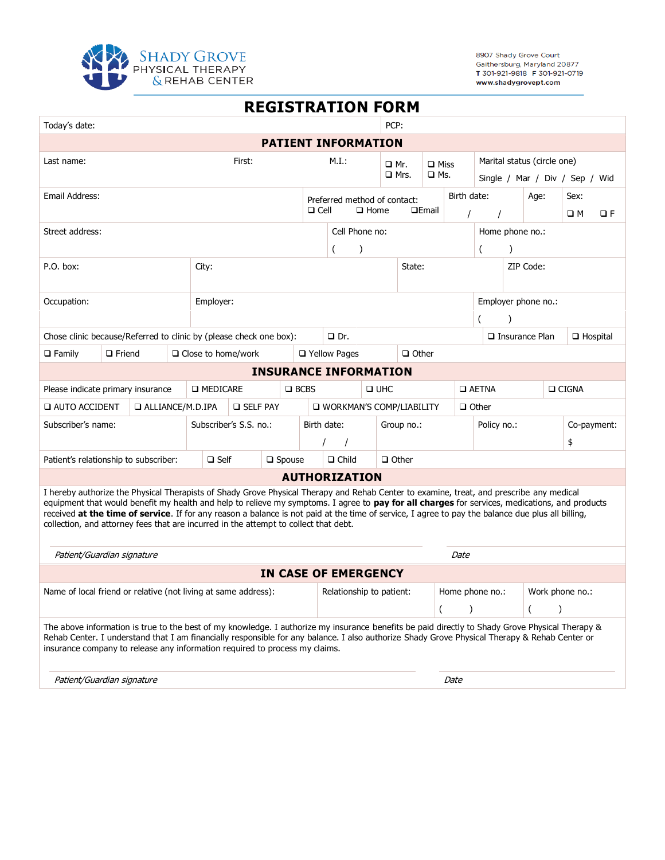

8907 Shady Grove Court Gaithersburg, Maryland 20877<br>T 301-921-9818 F 301-921-0719 www.shadygrovept.com

| <b>REGISTRATION FORM</b>                                                                                                                                                                                                                                                                                                                                                                                                                                                                                                                |                           |                              |                |                                             |                              |  |                      |                 |                              |                                |                             |      |             |          |  |
|-----------------------------------------------------------------------------------------------------------------------------------------------------------------------------------------------------------------------------------------------------------------------------------------------------------------------------------------------------------------------------------------------------------------------------------------------------------------------------------------------------------------------------------------|---------------------------|------------------------------|----------------|---------------------------------------------|------------------------------|--|----------------------|-----------------|------------------------------|--------------------------------|-----------------------------|------|-------------|----------|--|
| PCP:<br>Today's date:                                                                                                                                                                                                                                                                                                                                                                                                                                                                                                                   |                           |                              |                |                                             |                              |  |                      |                 |                              |                                |                             |      |             |          |  |
| <b>PATIENT INFORMATION</b>                                                                                                                                                                                                                                                                                                                                                                                                                                                                                                              |                           |                              |                |                                             |                              |  |                      |                 |                              |                                |                             |      |             |          |  |
| First:<br>Last name:                                                                                                                                                                                                                                                                                                                                                                                                                                                                                                                    |                           |                              |                | M.I.:                                       |                              |  | $\Box$ Miss<br>□ Mr. |                 |                              |                                | Marital status (circle one) |      |             |          |  |
|                                                                                                                                                                                                                                                                                                                                                                                                                                                                                                                                         |                           |                              |                | $\square$ Mrs.                              |                              |  |                      | $\square$ Ms.   |                              | Single / Mar / Div / Sep / Wid |                             |      |             |          |  |
| Email Address:                                                                                                                                                                                                                                                                                                                                                                                                                                                                                                                          |                           |                              |                | Preferred method of contact:                |                              |  |                      | Birth date:     |                              |                                | Age:                        | Sex: |             |          |  |
| $\Box$ Cell                                                                                                                                                                                                                                                                                                                                                                                                                                                                                                                             |                           |                              |                | $\Box$ Home<br><b>QEmail</b>                |                              |  |                      |                 |                              |                                |                             | OМ   |             | $\Box F$ |  |
| Street address:                                                                                                                                                                                                                                                                                                                                                                                                                                                                                                                         |                           |                              | Cell Phone no: |                                             |                              |  |                      | Home phone no.: |                              |                                |                             |      |             |          |  |
|                                                                                                                                                                                                                                                                                                                                                                                                                                                                                                                                         |                           |                              |                | (<br>$\lambda$                              |                              |  |                      | (<br>$\lambda$  |                              |                                |                             |      |             |          |  |
| P.O. box:<br>City:                                                                                                                                                                                                                                                                                                                                                                                                                                                                                                                      |                           |                              |                | State:                                      |                              |  |                      | ZIP Code:       |                              |                                |                             |      |             |          |  |
|                                                                                                                                                                                                                                                                                                                                                                                                                                                                                                                                         |                           |                              |                |                                             |                              |  |                      |                 |                              |                                |                             |      |             |          |  |
| Occupation:<br>Employer:                                                                                                                                                                                                                                                                                                                                                                                                                                                                                                                |                           |                              |                |                                             |                              |  |                      |                 | Employer phone no.:          |                                |                             |      |             |          |  |
| Chose clinic because/Referred to clinic by (please check one box):                                                                                                                                                                                                                                                                                                                                                                                                                                                                      |                           |                              |                | $\Box$ Dr.                                  |                              |  |                      |                 |                              | $\Box$ Insurance Plan          | $\Box$ Hospital             |      |             |          |  |
| $\Box$ Family<br>$\Box$ Friend                                                                                                                                                                                                                                                                                                                                                                                                                                                                                                          | $\Box$ Close to home/work |                              |                | $\Box$ Other<br>□ Yellow Pages              |                              |  |                      |                 |                              |                                |                             |      |             |          |  |
|                                                                                                                                                                                                                                                                                                                                                                                                                                                                                                                                         |                           | <b>INSURANCE INFORMATION</b> |                |                                             |                              |  |                      |                 |                              |                                |                             |      |             |          |  |
| Please indicate primary insurance                                                                                                                                                                                                                                                                                                                                                                                                                                                                                                       | <b>D</b> MEDICARE         |                              | $\Box$ BCBS    | $\Box$ UHC                                  |                              |  |                      |                 | $\Box$ AETNA<br>$\Box$ CIGNA |                                |                             |      |             |          |  |
| <b>Q AUTO ACCIDENT</b><br>□ ALLIANCE/M.D.IPA                                                                                                                                                                                                                                                                                                                                                                                                                                                                                            |                           | <b>D</b> SELF PAY            |                | U WORKMAN'S COMP/LIABILITY<br>$\Box$ Other  |                              |  |                      |                 |                              |                                |                             |      |             |          |  |
| Subscriber's name:                                                                                                                                                                                                                                                                                                                                                                                                                                                                                                                      |                           | Subscriber's S.S. no.:       |                |                                             | Birth date:<br>Group no.:    |  |                      |                 | Policy no.:                  |                                |                             |      | Co-payment: |          |  |
|                                                                                                                                                                                                                                                                                                                                                                                                                                                                                                                                         |                           |                              | $\prime$       |                                             |                              |  |                      |                 |                              | \$                             |                             |      |             |          |  |
| Patient's relationship to subscriber:                                                                                                                                                                                                                                                                                                                                                                                                                                                                                                   | $\Box$ Self               | $\square$ Spouse             |                |                                             | $\Box$ Other<br>$\Box$ Child |  |                      |                 |                              |                                |                             |      |             |          |  |
|                                                                                                                                                                                                                                                                                                                                                                                                                                                                                                                                         |                           |                              |                | <b>AUTHORIZATION</b>                        |                              |  |                      |                 |                              |                                |                             |      |             |          |  |
| I hereby authorize the Physical Therapists of Shady Grove Physical Therapy and Rehab Center to examine, treat, and prescribe any medical<br>equipment that would benefit my health and help to relieve my symptoms. I agree to pay for all charges for services, medications, and products<br>received at the time of service. If for any reason a balance is not paid at the time of service, I agree to pay the balance due plus all billing,<br>collection, and attorney fees that are incurred in the attempt to collect that debt. |                           |                              |                |                                             |                              |  |                      |                 |                              |                                |                             |      |             |          |  |
| Patient/Guardian signature                                                                                                                                                                                                                                                                                                                                                                                                                                                                                                              |                           |                              |                |                                             | Date                         |  |                      |                 |                              |                                |                             |      |             |          |  |
| IN CASE OF EMERGENCY                                                                                                                                                                                                                                                                                                                                                                                                                                                                                                                    |                           |                              |                |                                             |                              |  |                      |                 |                              |                                |                             |      |             |          |  |
| Name of local friend or relative (not living at same address):                                                                                                                                                                                                                                                                                                                                                                                                                                                                          |                           |                              |                | Relationship to patient:<br>Home phone no.: |                              |  |                      | Work phone no.: |                              |                                |                             |      |             |          |  |
|                                                                                                                                                                                                                                                                                                                                                                                                                                                                                                                                         |                           |                              |                |                                             |                              |  |                      |                 |                              |                                |                             |      |             |          |  |
| The above information is true to the best of my knowledge. I authorize my insurance benefits be paid directly to Shady Grove Physical Therapy &<br>Rehab Center. I understand that I am financially responsible for any balance. I also authorize Shady Grove Physical Therapy & Rehab Center or<br>insurance company to release any information required to process my claims.                                                                                                                                                         |                           |                              |                |                                             |                              |  |                      |                 |                              |                                |                             |      |             |          |  |
| Patient/Guardian signature                                                                                                                                                                                                                                                                                                                                                                                                                                                                                                              |                           |                              |                |                                             |                              |  |                      |                 | Date                         |                                |                             |      |             |          |  |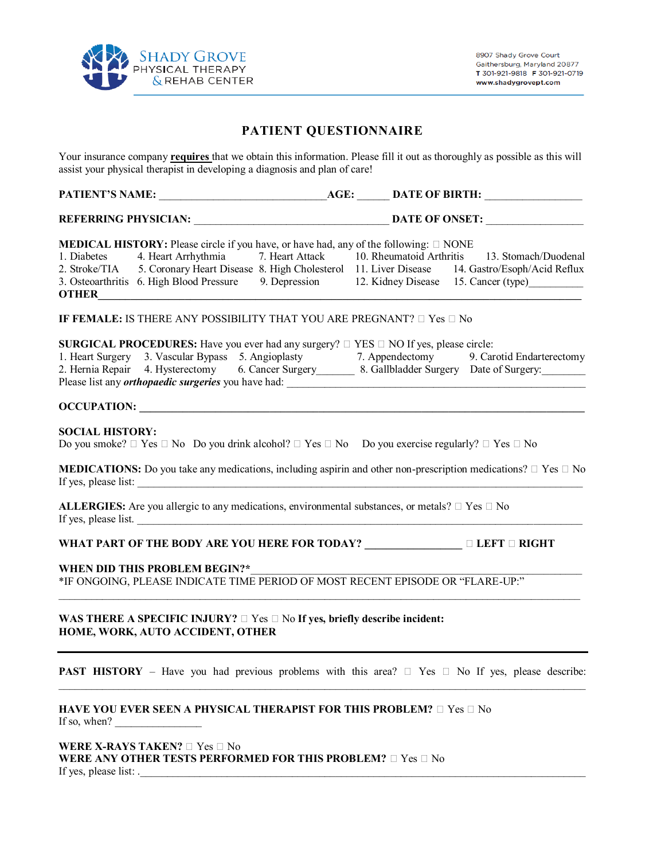

#### **PATIENT QUESTIONNAIRE**

Your insurance company **requires** that we obtain this information. Please fill it out as thoroughly as possible as this will assist your physical therapist in developing a diagnosis and plan of care!

| <b>MEDICAL HISTORY:</b> Please circle if you have, or have had, any of the following: $\square$ NONE                     | 1. Diabetes 4. Heart Arrhythmia 7. Heart Attack 10. Rheumatoid Arthritis 13. Stomach/Duodenal<br>2. Stroke/TIA 5. Coronary Heart Disease 8. High Cholesterol 11. Liver Disease 14. Gastro/Esoph/Acid Reflux<br>3. Osteoarthritis 6. High Blood Pressure 9. Depression 12. Kidney Disease 15. Cancer (type) |
|--------------------------------------------------------------------------------------------------------------------------|------------------------------------------------------------------------------------------------------------------------------------------------------------------------------------------------------------------------------------------------------------------------------------------------------------|
| IF FEMALE: IS THERE ANY POSSIBILITY THAT YOU ARE PREGNANT? $\Box$ Yes $\Box$ No                                          |                                                                                                                                                                                                                                                                                                            |
| <b>SURGICAL PROCEDURES:</b> Have you ever had any surgery? $\Box$ YES $\Box$ NO If yes, please circle:                   | 1. Heart Surgery 3. Vascular Bypass 5. Angioplasty 7. Appendectomy 9. Carotid Endarterectomy 2. Hernia Repair 4. Hysterectomy 6. Cancer Surgery 8. Gallbladder Surgery Date of Surgery.                                                                                                                    |
|                                                                                                                          |                                                                                                                                                                                                                                                                                                            |
| <b>SOCIAL HISTORY:</b>                                                                                                   | Do you smoke? $\Box$ Yes $\Box$ No Do you drink alcohol? $\Box$ Yes $\Box$ No Do you exercise regularly? $\Box$ Yes $\Box$ No                                                                                                                                                                              |
|                                                                                                                          | <b>MEDICATIONS:</b> Do you take any medications, including aspirin and other non-prescription medications? $\Box$ Yes $\Box$ No                                                                                                                                                                            |
| If yes, please list.                                                                                                     | ALLERGIES: Are you allergic to any medications, environmental substances, or metals? $\Box$ Yes $\Box$ No                                                                                                                                                                                                  |
|                                                                                                                          | WHAT PART OF THE BODY ARE YOU HERE FOR TODAY? ________________ □ LEFT □ RIGHT                                                                                                                                                                                                                              |
| WHEN DID THIS PROBLEM BEGIN?*                                                                                            | *IF ONGOING, PLEASE INDICATE TIME PERIOD OF MOST RECENT EPISODE OR "FLARE-UP:"                                                                                                                                                                                                                             |
| WAS THERE A SPECIFIC INJURY? $\Box$ Yes $\Box$ No If yes, briefly describe incident:<br>HOME, WORK, AUTO ACCIDENT, OTHER |                                                                                                                                                                                                                                                                                                            |
|                                                                                                                          | <b>PAST HISTORY</b> – Have you had previous problems with this area? $\Box$ Yes $\Box$ No If yes, please describe:                                                                                                                                                                                         |
| HAVE YOU EVER SEEN A PHYSICAL THERAPIST FOR THIS PROBLEM? $\square$ Yes $\square$ No<br>If so, when?                     |                                                                                                                                                                                                                                                                                                            |
| WERE X-RAYS TAKEN? $\square$ Yes $\square$ No<br>WERE ANY OTHER TESTS PERFORMED FOR THIS PROBLEM? $\Box$ Yes $\Box$ No   |                                                                                                                                                                                                                                                                                                            |

If yes, please list:  $\frac{1}{2}$  is the set of  $\frac{1}{2}$  is the set of  $\frac{1}{2}$  is the set of  $\frac{1}{2}$  is the set of  $\frac{1}{2}$  is the set of  $\frac{1}{2}$  is the set of  $\frac{1}{2}$  is the set of  $\frac{1}{2}$  is the set of  $\frac{1}{2}$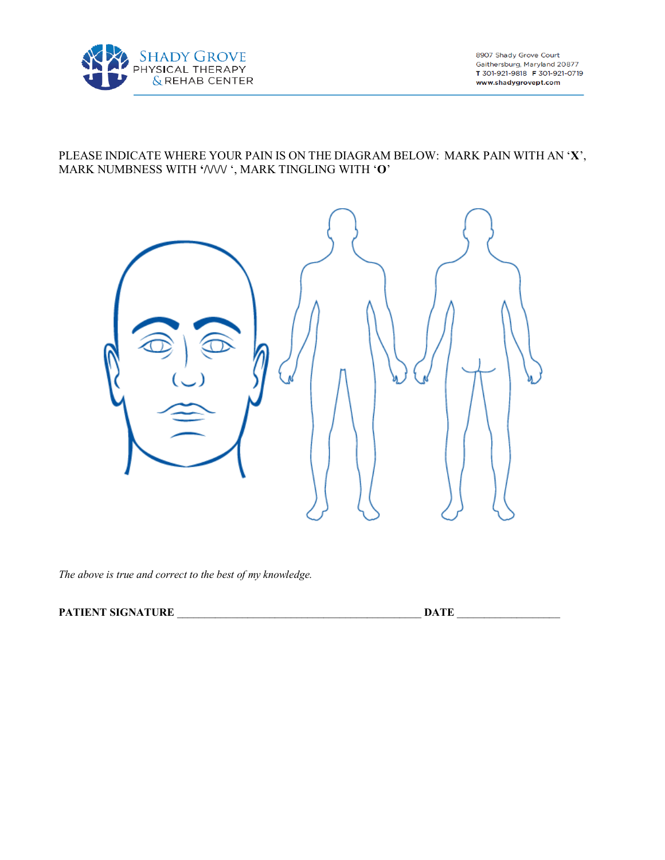

8907 Shady Grove Court Gaithersburg, Maryland 20877 T 301-921-9818 F 301-921-0719 www.shadygrovept.com

#### PLEASE INDICATE WHERE YOUR PAIN IS ON THE DIAGRAM BELOW: MARK PAIN WITH AN '**X**', MARK NUMBNESS WITH **'/\/\/\/** ', MARK TINGLING WITH '**O**'



*The above is true and correct to the best of my knowledge.* 

#### PATIENT SIGNATURE **Letters DATE**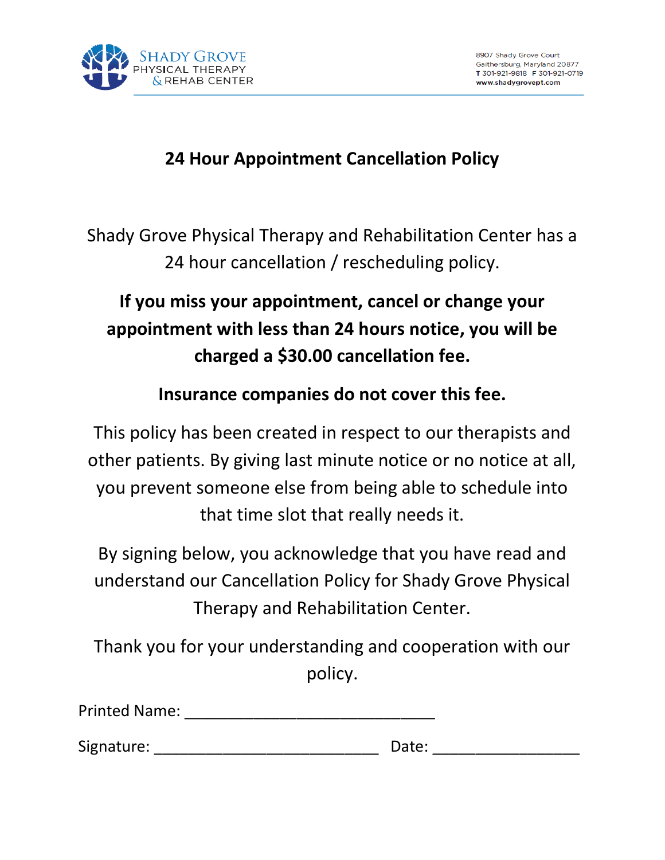

### **24 Hour Appointment Cancellation Policy**

Shady Grove Physical Therapy and Rehabilitation Center has a 24 hour cancellation / rescheduling policy.

# **If you miss your appointment, cancel or change your appointment with less than 24 hours notice, you will be charged a \$30.00 cancellation fee.**

### **Insurance companies do not cover this fee.**

This policy has been created in respect to our therapists and other patients. By giving last minute notice or no notice at all, you prevent someone else from being able to schedule into that time slot that really needs it.

By signing below, you acknowledge that you have read and understand our Cancellation Policy for Shady Grove Physical Therapy and Rehabilitation Center.

Thank you for your understanding and cooperation with our policy.

| Signature: | Date: |
|------------|-------|
|            |       |